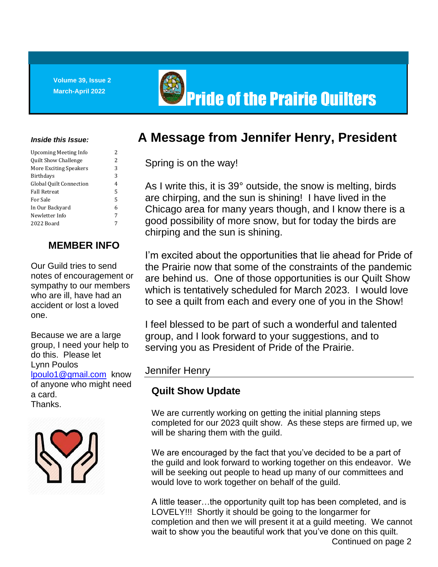**Volume 39, Issue 2**



# **March-April 2022 No. 2022 Pride of the Prairie Quilters**

#### *Inside this Issue:*

| Upcoming Meeting Info          | 2                        |
|--------------------------------|--------------------------|
| <b>Quilt Show Challenge</b>    | $\overline{\mathcal{L}}$ |
| More Exciting Speakers         | 3                        |
| <b>Birthdays</b>               | 3                        |
| <b>Global Quilt Connection</b> | 4                        |
| <b>Fall Retreat</b>            | 5                        |
| For Sale                       | 5                        |
| In Our Backyard                | 6                        |
| Newletter Info                 | 7                        |
| 2022 Board                     | 7                        |
|                                |                          |

### **MEMBER INFO**

Our Guild tries to send notes of encouragement or sympathy to our members who are ill, have had an accident or lost a loved one.

Because we are a large group, I need your help to do this. Please let Lynn Poulos [lpoulo1@gmail.com](mailto:lpoulo1@gmail.com) know of anyone who might need a card. Thanks.



## **A Message from Jennifer Henry, President**

Spring is on the way!

As I write this, it is 39° outside, the snow is melting, birds are chirping, and the sun is shining! I have lived in the Chicago area for many years though, and I know there is a good possibility of more snow, but for today the birds are chirping and the sun is shining.

I'm excited about the opportunities that lie ahead for Pride of the Prairie now that some of the constraints of the pandemic are behind us. One of those opportunities is our Quilt Show which is tentatively scheduled for March 2023. I would love to see a quilt from each and every one of you in the Show!

I feel blessed to be part of such a wonderful and talented group, and I look forward to your suggestions, and to serving you as President of Pride of the Prairie.

#### Jennifer Henry

## **Quilt Show Update**

We are currently working on getting the initial planning steps completed for our 2023 quilt show. As these steps are firmed up, we will be sharing them with the guild.

We are encouraged by the fact that you've decided to be a part of the guild and look forward to working together on this endeavor. We will be seeking out people to head up many of our committees and would love to work together on behalf of the guild.

wait to show you the beautiful work that you've done on this quilt.<br>Continued an pag A little teaser…the opportunity quilt top has been completed, and is LOVELY!!! Shortly it should be going to the longarmer for completion and then we will present it at a guild meeting. We cannot Continued on page 2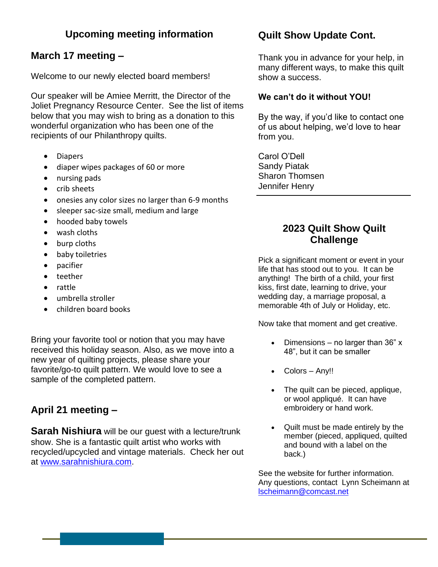### **Upcoming meeting information**

### **March 17 meeting –**

Welcome to our newly elected board members!

Our speaker will be Amiee Merritt, the Director of the Joliet Pregnancy Resource Center. See the list of items below that you may wish to bring as a donation to this wonderful organization who has been one of the recipients of our Philanthropy quilts.

- Diapers
- diaper wipes packages of 60 or more
- nursing pads
- crib sheets
- onesies any color sizes no larger than 6-9 months
- sleeper sac-size small, medium and large
- hooded baby towels
- wash cloths
- burp cloths
- baby toiletries
- pacifier
- teether
- rattle
- umbrella stroller
- children board books

Bring your favorite tool or notion that you may have received this holiday season. Also, as we move into a new year of quilting projects, please share your favorite/go-to quilt pattern. We would love to see a sample of the completed pattern.

## **April 21 meeting –**

**Sarah Nishiura** will be our guest with a lecture/trunk show. She is a fantastic quilt artist who works with recycled/upcycled and vintage materials. Check her out at [www.sarahnishiura.com.](http://www.sarahnishiura.com/)

#### **Quilt Show Update Cont.**

Thank you in advance for your help, in many different ways, to make this quilt show a success.

#### **We can't do it without YOU!**

By the way, if you'd like to contact one of us about helping, we'd love to hear from you.

Carol O'Dell Sandy Piatak Sharon Thomsen Jennifer Henry

#### **2023 Quilt Show Quilt Challenge**

Pick a significant moment or event in your life that has stood out to you. It can be anything! The birth of a child, your first kiss, first date, learning to drive, your wedding day, a marriage proposal, a memorable 4th of July or Holiday, etc.

Now take that moment and get creative.

- Dimensions no larger than 36" x 48", but it can be smaller
- Colors Any!!
- The quilt can be pieced, applique, or wool appliqué. It can have embroidery or hand work.
- Quilt must be made entirely by the member (pieced, appliqued, quilted and bound with a label on the back.)

See the website for further information. Any questions, contact Lynn Scheimann at [lscheimann@comcast.net](mailto:lscheimann@comcast.net)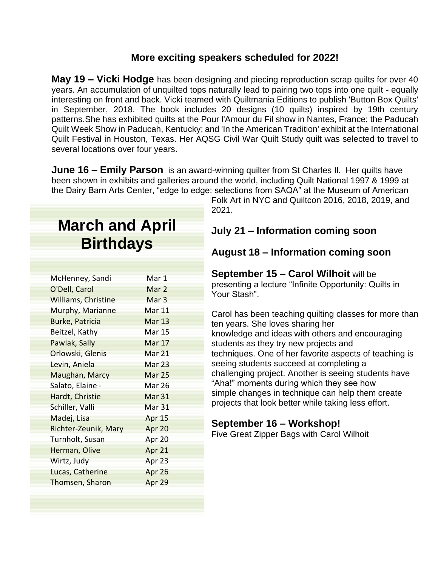#### **More exciting speakers scheduled for 2022!**

**May 19 – Vicki Hodge** has been designing and piecing reproduction scrap quilts for over 40 years. An accumulation of unquilted tops naturally lead to pairing two tops into one quilt - equally interesting on front and back. Vicki teamed with Quiltmania Editions to publish 'Button Box Quilts' in September, 2018. The book includes 20 designs (10 quilts) inspired by 19th century patterns.She has exhibited quilts at the Pour l'Amour du Fil show in Nantes, France; the Paducah Quilt Week Show in Paducah, Kentucky; and 'In the American Tradition' exhibit at the International Quilt Festival in Houston, Texas. Her AQSG Civil War Quilt Study quilt was selected to travel to several locations over four years.

**June 16 – Emily Parson** is an award-winning quilter from St Charles Il. Her quilts have been shown in exhibits and galleries around the world, including Quilt National 1997 & 1999 at the Dairy Barn Arts Center, "edge to edge: selections from SAQA" at the Museum of American

# **March and April Birthdays**

| McHenney, Sandi      | Mar 1            |
|----------------------|------------------|
| O'Dell, Carol        | Mar <sub>2</sub> |
| Williams, Christine  | Mar 3            |
| Murphy, Marianne     | Mar 11           |
| Burke, Patricia      | Mar 13           |
| Beitzel, Kathy       | Mar 15           |
| Pawlak, Sally        | Mar 17           |
| Orlowski, Glenis     | Mar 21           |
| Levin, Aniela        | Mar 23           |
| Maughan, Marcy       | Mar 25           |
| Salato, Elaine -     | Mar 26           |
| Hardt, Christie      | Mar 31           |
| Schiller, Valli      | Mar 31           |
| Madej, Lisa          | Apr 15           |
| Richter-Zeunik, Mary | Apr 20           |
| Turnholt, Susan      | Apr 20           |
| Herman, Olive        | Apr 21           |
| Wirtz, Judy          | Apr 23           |
| Lucas, Catherine     | Apr 26           |
| Thomsen, Sharon      | Apr 29           |
|                      |                  |

Folk Art in NYC and Quiltcon 2016, 2018, 2019, and 2021.

#### **July 21 – Information coming soon**

#### **August 18 – Information coming soon**

**September 15 – Carol Wilhoit** will be presenting a lecture "Infinite Opportunity: Quilts in Your Stash".

Carol has been teaching quilting classes for more than ten years. She loves sharing her knowledge and ideas with others and encouraging students as they try new projects and techniques. One of her favorite aspects of teaching is seeing students succeed at completing a challenging project. Another is seeing students have "Aha!" moments during which they see how simple changes in technique can help them create projects that look better while taking less effort.

#### **September 16 – Workshop!**

Five Great Zipper Bags with Carol Wilhoit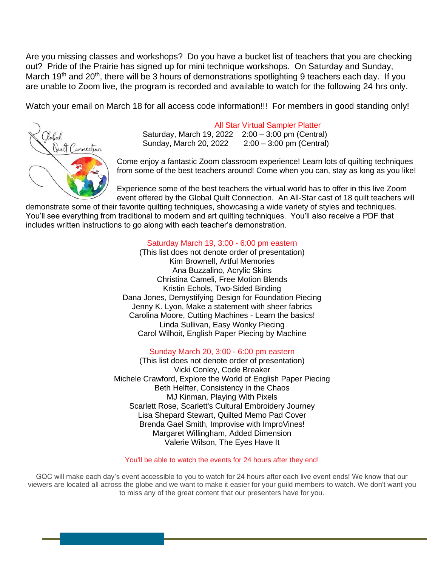Are you missing classes and workshops? Do you have a bucket list of teachers that you are checking out? Pride of the Prairie has signed up for mini technique workshops. On Saturday and Sunday, March 19<sup>th</sup> and 20<sup>th</sup>, there will be 3 hours of demonstrations spotlighting 9 teachers each day. If you are unable to Zoom live, the program is recorded and available to watch for the following 24 hrs only.

Watch your email on March 18 for all access code information!!! For members in good standing only!



All Star Virtual Sampler Platter Saturday, March 19, 2022 2:00 – 3:00 pm (Central) Sunday, March 20, 2022 2:00 – 3:00 pm (Central)

Come enjoy a fantastic Zoom classroom experience! Learn lots of quilting techniques from some of the best teachers around! Come when you can, stay as long as you like!

Experience some of the best teachers the virtual world has to offer in this live Zoom event offered by the Global Quilt Connection. An All-Star cast of 18 quilt teachers will

demonstrate some of their favorite quilting techniques, showcasing a wide variety of styles and techniques. You'll see everything from traditional to modern and art quilting techniques. You'll also receive a PDF that includes written instructions to go along with each teacher's demonstration.

#### Saturday March 19, 3:00 - 6:00 pm eastern

(This list does not denote order of presentation) Kim Brownell, Artful Memories Ana Buzzalino, Acrylic Skins Christina Cameli, Free Motion Blends Kristin Echols, Two-Sided Binding Dana Jones, Demystifying Design for Foundation Piecing Jenny K. Lyon, Make a statement with sheer fabrics Carolina Moore, Cutting Machines - Learn the basics! Linda Sullivan, Easy Wonky Piecing Carol Wilhoit, English Paper Piecing by Machine

#### Sunday March 20, 3:00 - 6:00 pm eastern

(This list does not denote order of presentation) Vicki Conley, Code Breaker Michele Crawford, Explore the World of English Paper Piecing Beth Helfter, Consistency in the Chaos MJ Kinman, Playing With Pixels Scarlett Rose, Scarlett's Cultural Embroidery Journey Lisa Shepard Stewart, Quilted Memo Pad Cover Brenda Gael Smith, Improvise with ImproVines! Margaret Willingham, Added Dimension Valerie Wilson, The Eyes Have It

#### You'll be able to watch the events for 24 hours after they end!

GQC will make each day's event accessible to you to watch for 24 hours after each live event ends! We know that our viewers are located all across the globe and we want to make it easier for your guild members to watch. We don't want you to miss any of the great content that our presenters have for you.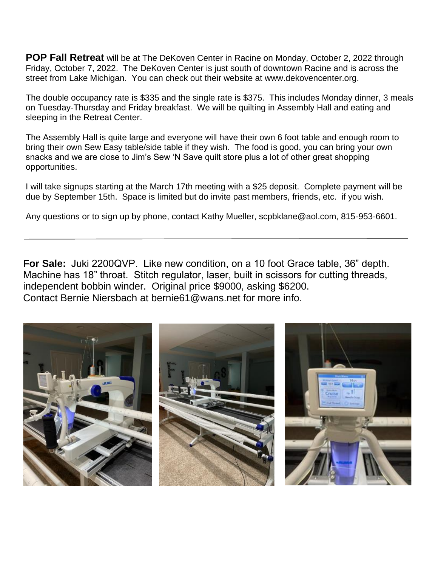**POP Fall Retreat** will be at The DeKoven Center in Racine on Monday, October 2, 2022 through Friday, October 7, 2022. The DeKoven Center is just south of downtown Racine and is across the street from Lake Michigan. You can check out their website at www.dekovencenter.org.

The double occupancy rate is \$335 and the single rate is \$375. This includes Monday dinner, 3 meals on Tuesday-Thursday and Friday breakfast. We will be quilting in Assembly Hall and eating and sleeping in the Retreat Center.

The Assembly Hall is quite large and everyone will have their own 6 foot table and enough room to bring their own Sew Easy table/side table if they wish. The food is good, you can bring your own snacks and we are close to Jim's Sew 'N Save quilt store plus a lot of other great shopping opportunities.

I will take signups starting at the March 17th meeting with a \$25 deposit. Complete payment will be due by September 15th. Space is limited but do invite past members, friends, etc. if you wish.

Any questions or to sign up by phone, contact Kathy Mueller, scpbklane@aol.com, 815-953-6601.

 Machine has 18" throat. Stitch regulator, laser, built in scissors for cutting threads, **For Sale:** Juki 2200QVP. Like new condition, on a 10 foot Grace table, 36" depth. independent bobbin winder. Original price \$9000, asking \$6200. Contact Bernie Niersbach at bernie61@wans.net for more info.

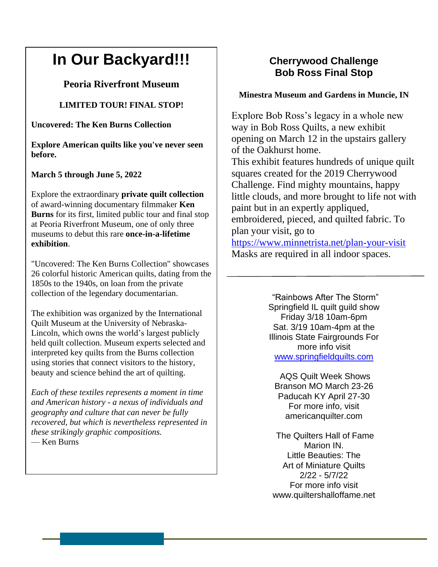# **In Our Backyard!!!**

#### **Peoria Riverfront Museum**

#### **LIMITED TOUR! FINAL STOP!**

**Uncovered: The Ken Burns Collection**

**Explore American quilts like you've never seen before.** 

**March 5 through June 5, 2022**

Explore the extraordinary **private quilt collection** of award-winning documentary filmmaker **Ken Burns** for its first, limited public tour and final stop at Peoria Riverfront Museum, one of only three museums to debut this rare **once-in-a-lifetime exhibition**.

"Uncovered: The Ken Burns Collection" showcases 26 colorful historic American quilts, dating from the 1850s to the 1940s, on loan from the private collection of the legendary documentarian.

The exhibition was organized by the International Quilt Museum at the University of Nebraska-Lincoln, which owns the world's largest publicly held quilt collection. Museum experts selected and interpreted key quilts from the Burns collection using stories that connect visitors to the history, beauty and science behind the art of quilting.

*Each of these textiles represents a moment in time and American history - a nexus of individuals and geography and culture that can never be fully recovered, but which is nevertheless represented in these strikingly graphic compositions.* — Ken Burns

.

#### **Cherrywood Challenge Bob Ross Final Stop**

#### **Minestra Museum and Gardens in Muncie, IN**

Explore Bob Ross's legacy in a whole new way in Bob Ross Quilts, a new exhibit opening on March 12 in the upstairs gallery of the Oakhurst home. This exhibit features hundreds of unique quilt squares created for the 2019 Cherrywood Challenge. Find mighty mountains, happy little clouds, and more brought to life not with paint but in an expertly appliqued, embroidered, pieced, and quilted fabric. To plan your visit, go to [https://www.minnetrista.net/plan-your-visit](https://l.facebook.com/l.php?u=https%3A%2F%2Fwww.minnetrista.net%2Fplan-your-visit%3Ffbclid%3DIwAR0y4tqPuZJwwML8DsUfK2kRRfOHGSxTHOyGL57CYGFn9FM6HLMsrTOMB3g&h=AT27KMVFM__czoYBPemc_6MTYDnLAd66InXReW0GZZVFwdDGRjpDJYVTl0AV3uhinSb_DOA6x7CnPus8T6SktpXl9gJOT9or3YYmDgeZqNj41ru75DLxazA55jr0H7yWqRaX-4wWcwFOZxzN7g&__tn__=-UK-y-R&c%5b0%5d=AT1oOAUaQ11MZHZjG9dJmkuQ2vEt0S49KaX901LE_Y0yG7NqbCAO7suZRV_7YWGVQjeGJgslVodDIfdi4AyDsjzxWe2nBpQSYl9d72zmxUaXieTybuo7VBPaqwMrzbw-qSjxCbe_T8nUC1bPCRFAloVj6p9WYXvJRbTZyK6cPJOpLsNcyFvt5k94L6lQwkYt_7xqKEMqLZInNINOPDg3jQv6Xr-LJruOatCHUZXv5vyVxNyTS0E) Masks are required in all indoor spaces.

> "Rainbows After The Storm" Springfield IL quilt guild show Friday 3/18 10am-6pm Sat. 3/19 10am-4pm at the Illinois State Fairgrounds For more info visit [www.springfieldquilts.com](http://www.springfieldquilts.com/)

AQS Quilt Week Shows Branson MO March 23-26 Paducah KY April 27-30 For more info, visit americanquilter.com

The Quilters Hall of Fame Marion IN. Little Beauties: The Art of Miniature Quilts 2/22 - 5/7/22 For more info visit www.quiltershalloffame.net